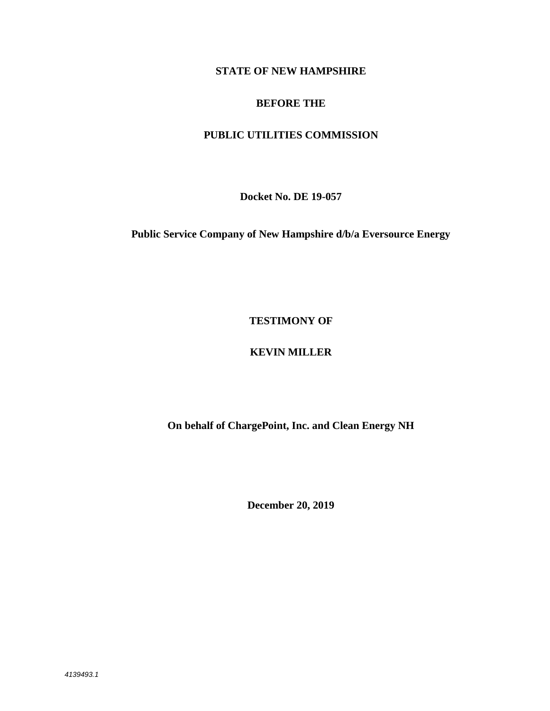## **STATE OF NEW HAMPSHIRE**

### **BEFORE THE**

# **PUBLIC UTILITIES COMMISSION**

**Docket No. DE 19-057** 

**Public Service Company of New Hampshire d/b/a Eversource Energy** 

## **TESTIMONY OF**

# **KEVIN MILLER**

**On behalf of ChargePoint, Inc. and Clean Energy NH** 

**December 20, 2019**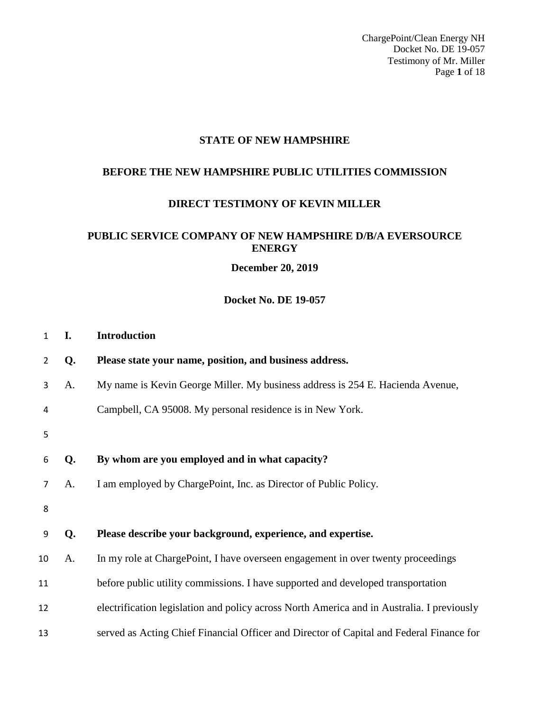ChargePoint/Clean Energy NH Docket No. DE 19-057 Testimony of Mr. Miller Page **1** of 18

# **STATE OF NEW HAMPSHIRE**

#### **BEFORE THE NEW HAMPSHIRE PUBLIC UTILITIES COMMISSION**

#### **DIRECT TESTIMONY OF KEVIN MILLER**

### **PUBLIC SERVICE COMPANY OF NEW HAMPSHIRE D/B/A EVERSOURCE ENERGY**

**December 20, 2019** 

#### **Docket No. DE 19-057**

| $\mathbf{1}$ | I. | <b>Introduction</b>                                                                        |
|--------------|----|--------------------------------------------------------------------------------------------|
| 2            | Q. | Please state your name, position, and business address.                                    |
| 3            | A. | My name is Kevin George Miller. My business address is 254 E. Hacienda Avenue,             |
| 4            |    | Campbell, CA 95008. My personal residence is in New York.                                  |
| 5            |    |                                                                                            |
| 6            | Q. | By whom are you employed and in what capacity?                                             |
| 7            | A. | I am employed by ChargePoint, Inc. as Director of Public Policy.                           |
| 8            |    |                                                                                            |
| 9            | Q. | Please describe your background, experience, and expertise.                                |
| 10           | A. | In my role at ChargePoint, I have overseen engagement in over twenty proceedings           |
| 11           |    | before public utility commissions. I have supported and developed transportation           |
| 12           |    | electrification legislation and policy across North America and in Australia. I previously |
| 13           |    | served as Acting Chief Financial Officer and Director of Capital and Federal Finance for   |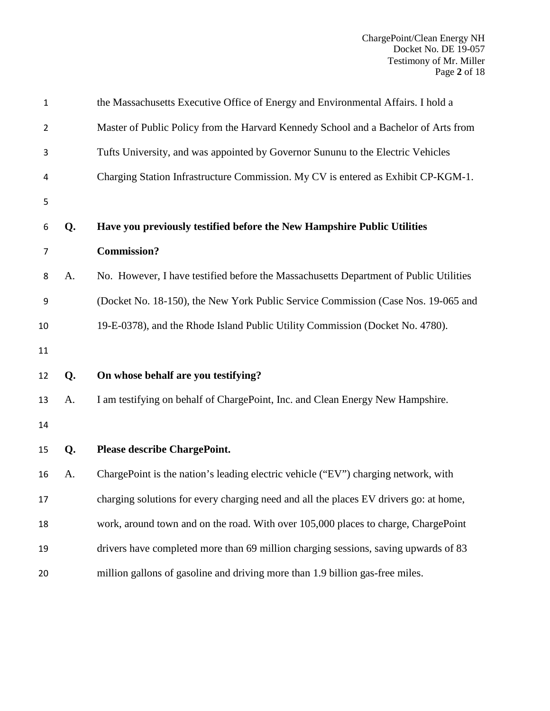| $\mathbf{1}$   |    | the Massachusetts Executive Office of Energy and Environmental Affairs. I hold a      |
|----------------|----|---------------------------------------------------------------------------------------|
| $\overline{2}$ |    | Master of Public Policy from the Harvard Kennedy School and a Bachelor of Arts from   |
| 3              |    | Tufts University, and was appointed by Governor Sununu to the Electric Vehicles       |
| 4              |    | Charging Station Infrastructure Commission. My CV is entered as Exhibit CP-KGM-1.     |
| 5              |    |                                                                                       |
| 6              | Q. | Have you previously testified before the New Hampshire Public Utilities               |
| $\overline{7}$ |    | <b>Commission?</b>                                                                    |
| 8              | A. | No. However, I have testified before the Massachusetts Department of Public Utilities |
| 9              |    | (Docket No. 18-150), the New York Public Service Commission (Case Nos. 19-065 and     |
| 10             |    | 19-E-0378), and the Rhode Island Public Utility Commission (Docket No. 4780).         |
| 11             |    |                                                                                       |
| 12             | Q. | On whose behalf are you testifying?                                                   |
| 13             | A. | I am testifying on behalf of ChargePoint, Inc. and Clean Energy New Hampshire.        |
| 14             |    |                                                                                       |
| 15             | Q. | Please describe ChargePoint.                                                          |
| 16             | A. | ChargePoint is the nation's leading electric vehicle ("EV") charging network, with    |
| 17             |    | charging solutions for every charging need and all the places EV drivers go: at home, |
| 18             |    | work, around town and on the road. With over 105,000 places to charge, ChargePoint    |
| 19             |    | drivers have completed more than 69 million charging sessions, saving upwards of 83   |
| 20             |    | million gallons of gasoline and driving more than 1.9 billion gas-free miles.         |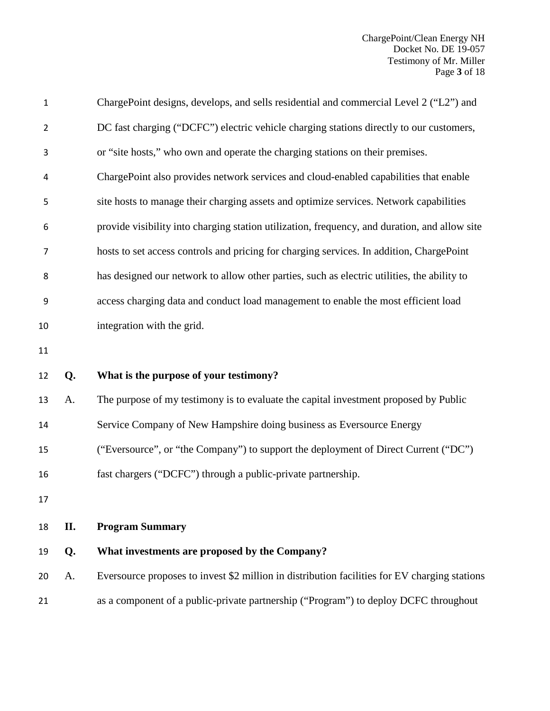| 1              |     | ChargePoint designs, develops, and sells residential and commercial Level 2 ("L2") and        |
|----------------|-----|-----------------------------------------------------------------------------------------------|
| $\overline{2}$ |     | DC fast charging ("DCFC") electric vehicle charging stations directly to our customers,       |
| 3              |     | or "site hosts," who own and operate the charging stations on their premises.                 |
| 4              |     | ChargePoint also provides network services and cloud-enabled capabilities that enable         |
| 5              |     | site hosts to manage their charging assets and optimize services. Network capabilities        |
| 6              |     | provide visibility into charging station utilization, frequency, and duration, and allow site |
| 7              |     | hosts to set access controls and pricing for charging services. In addition, ChargePoint      |
| 8              |     | has designed our network to allow other parties, such as electric utilities, the ability to   |
| 9              |     | access charging data and conduct load management to enable the most efficient load            |
| 10             |     | integration with the grid.                                                                    |
| 11             |     |                                                                                               |
| 12             | Q.  | What is the purpose of your testimony?                                                        |
| 13             | A.  | The purpose of my testimony is to evaluate the capital investment proposed by Public          |
| 14             |     | Service Company of New Hampshire doing business as Eversource Energy                          |
| 15             |     | ("Eversource", or "the Company") to support the deployment of Direct Current ("DC")           |
| 16             |     | fast chargers ("DCFC") through a public-private partnership.                                  |
| $17\,$         |     |                                                                                               |
| 18             | II. | <b>Program Summary</b>                                                                        |
| 19             | Q.  | What investments are proposed by the Company?                                                 |
| 20             | A.  | Eversource proposes to invest \$2 million in distribution facilities for EV charging stations |
| 21             |     | as a component of a public-private partnership ("Program") to deploy DCFC throughout          |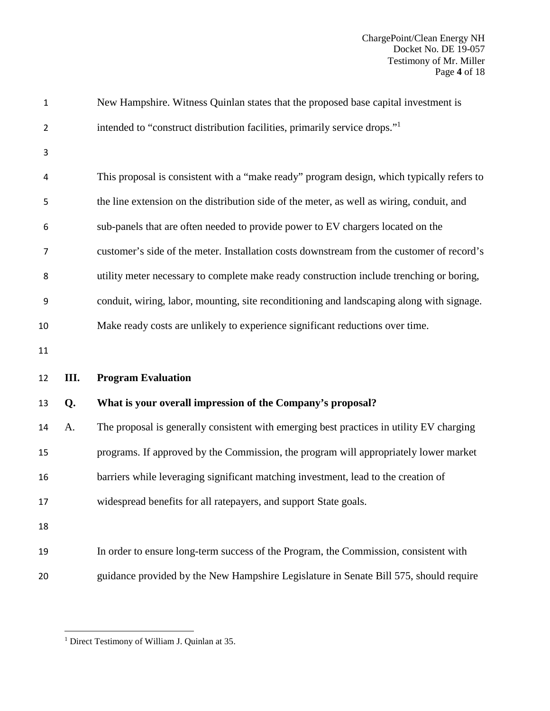| $\mathbf{1}$   |      | New Hampshire. Witness Quinlan states that the proposed base capital investment is        |
|----------------|------|-------------------------------------------------------------------------------------------|
| $\overline{2}$ |      | intended to "construct distribution facilities, primarily service drops." <sup>1</sup>    |
| 3              |      |                                                                                           |
| 4              |      | This proposal is consistent with a "make ready" program design, which typically refers to |
| 5              |      | the line extension on the distribution side of the meter, as well as wiring, conduit, and |
| 6              |      | sub-panels that are often needed to provide power to EV chargers located on the           |
| 7              |      | customer's side of the meter. Installation costs downstream from the customer of record's |
| 8              |      | utility meter necessary to complete make ready construction include trenching or boring,  |
| 9              |      | conduit, wiring, labor, mounting, site reconditioning and landscaping along with signage. |
| 10             |      | Make ready costs are unlikely to experience significant reductions over time.             |
| 11             |      |                                                                                           |
| 12             | III. | <b>Program Evaluation</b>                                                                 |
| 13             | Q.   | What is your overall impression of the Company's proposal?                                |
| 14             | A.   | The proposal is generally consistent with emerging best practices in utility EV charging  |
| 15             |      | programs. If approved by the Commission, the program will appropriately lower market      |
| 16             |      | barriers while leveraging significant matching investment, lead to the creation of        |
| 17             |      | widespread benefits for all ratepayers, and support State goals.                          |
| 18             |      |                                                                                           |
| 19             |      | In order to ensure long-term success of the Program, the Commission, consistent with      |
|                |      |                                                                                           |

<sup>&</sup>lt;sup>1</sup> Direct Testimony of William J. Quinlan at 35.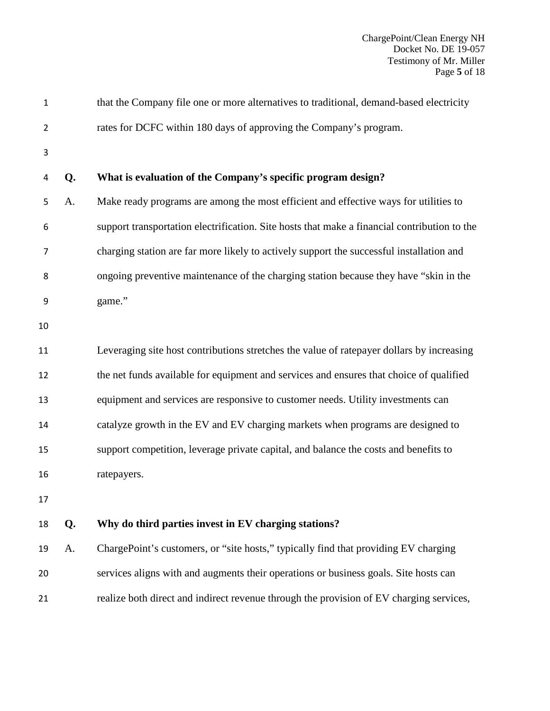| $\mathbf{1}$   |    | that the Company file one or more alternatives to traditional, demand-based electricity      |
|----------------|----|----------------------------------------------------------------------------------------------|
| $\overline{2}$ |    | rates for DCFC within 180 days of approving the Company's program.                           |
| 3              |    |                                                                                              |
| 4              | Q. | What is evaluation of the Company's specific program design?                                 |
| 5              | A. | Make ready programs are among the most efficient and effective ways for utilities to         |
| 6              |    | support transportation electrification. Site hosts that make a financial contribution to the |
| $\overline{7}$ |    | charging station are far more likely to actively support the successful installation and     |
| 8              |    | ongoing preventive maintenance of the charging station because they have "skin in the        |
| 9              |    | game."                                                                                       |
| 10             |    |                                                                                              |
| 11             |    | Leveraging site host contributions stretches the value of ratepayer dollars by increasing    |
| 12             |    | the net funds available for equipment and services and ensures that choice of qualified      |
| 13             |    | equipment and services are responsive to customer needs. Utility investments can             |
| 14             |    | catalyze growth in the EV and EV charging markets when programs are designed to              |
| 15             |    | support competition, leverage private capital, and balance the costs and benefits to         |
| 16             |    | ratepayers.                                                                                  |
| 17             |    |                                                                                              |
| 18             | Q. | Why do third parties invest in EV charging stations?                                         |
| 19             | A. | ChargePoint's customers, or "site hosts," typically find that providing EV charging          |
| 20             |    | services aligns with and augments their operations or business goals. Site hosts can         |
| 21             |    | realize both direct and indirect revenue through the provision of EV charging services,      |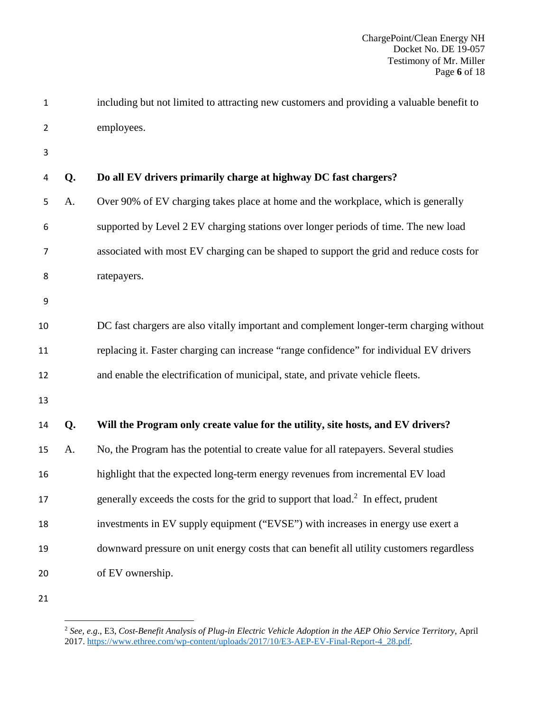| including but not limited to attracting new customers and providing a valuable benefit to |
|-------------------------------------------------------------------------------------------|
| employees.                                                                                |

# **Q. Do all EV drivers primarily charge at highway DC fast chargers?**

A. Over 90% of EV charging takes place at home and the workplace, which is generally supported by Level 2 EV charging stations over longer periods of time. The new load associated with most EV charging can be shaped to support the grid and reduce costs for ratepayers.

DC fast chargers are also vitally important and complement longer-term charging without replacing it. Faster charging can increase "range confidence" for individual EV drivers and enable the electrification of municipal, state, and private vehicle fleets.

# **Q. Will the Program only create value for the utility, site hosts, and EV drivers?**

A. No, the Program has the potential to create value for all ratepayers. Several studies

highlight that the expected long-term energy revenues from incremental EV load

17 generally exceeds the costs for the grid to support that load.<sup>2</sup> In effect, prudent

investments in EV supply equipment ("EVSE") with increases in energy use exert a

downward pressure on unit energy costs that can benefit all utility customers regardless

- of EV ownership.
- 

 *See, e.g*., E3, *Cost-Benefit Analysis of Plug-in Electric Vehicle Adoption in the AEP Ohio Service Territory*, April 2017. https://www.ethree.com/wp-content/uploads/2017/10/E3-AEP-EV-Final-Report-4\_28.pdf.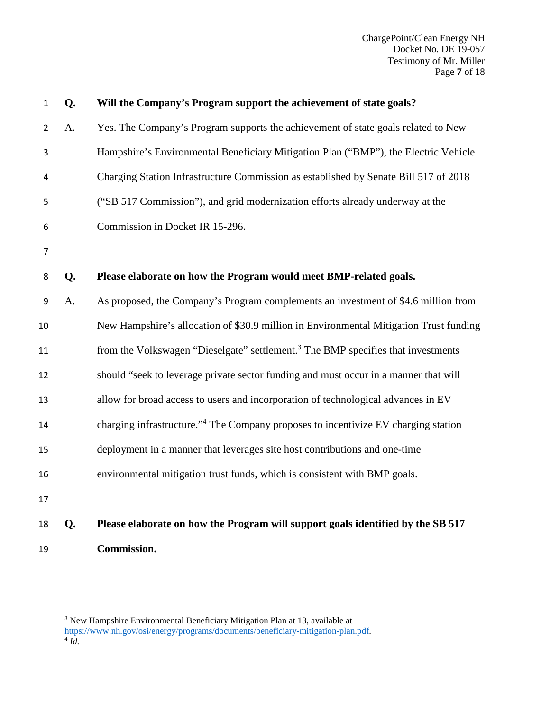ChargePoint/Clean Energy NH Docket No. DE 19-057 Testimony of Mr. Miller Page **7** of 18

| $\mathbf{1}$   | Q. | Will the Company's Program support the achievement of state goals?                             |
|----------------|----|------------------------------------------------------------------------------------------------|
| $\overline{2}$ | A. | Yes. The Company's Program supports the achievement of state goals related to New              |
| 3              |    | Hampshire's Environmental Beneficiary Mitigation Plan ("BMP"), the Electric Vehicle            |
| 4              |    | Charging Station Infrastructure Commission as established by Senate Bill 517 of 2018           |
| 5              |    | ("SB 517 Commission"), and grid modernization efforts already underway at the                  |
| 6              |    | Commission in Docket IR 15-296.                                                                |
| $\overline{7}$ |    |                                                                                                |
| 8              | Q. | Please elaborate on how the Program would meet BMP-related goals.                              |
| 9              | A. | As proposed, the Company's Program complements an investment of \$4.6 million from             |
| 10             |    | New Hampshire's allocation of \$30.9 million in Environmental Mitigation Trust funding         |
| 11             |    | from the Volkswagen "Dieselgate" settlement. <sup>3</sup> The BMP specifies that investments   |
| 12             |    | should "seek to leverage private sector funding and must occur in a manner that will           |
| 13             |    | allow for broad access to users and incorporation of technological advances in EV              |
| 14             |    | charging infrastructure." <sup>4</sup> The Company proposes to incentivize EV charging station |
| 15             |    | deployment in a manner that leverages site host contributions and one-time                     |
| 16             |    | environmental mitigation trust funds, which is consistent with BMP goals.                      |
| 17             |    |                                                                                                |
| 18             | Q. | Please elaborate on how the Program will support goals identified by the SB 517                |

**Commission.** 

<sup>&</sup>lt;sup>3</sup> New Hampshire Environmental Beneficiary Mitigation Plan at 13, available at https://www.nh.gov/osi/energy/programs/documents/beneficiary-mitigation-plan.pdf. 4 *Id.*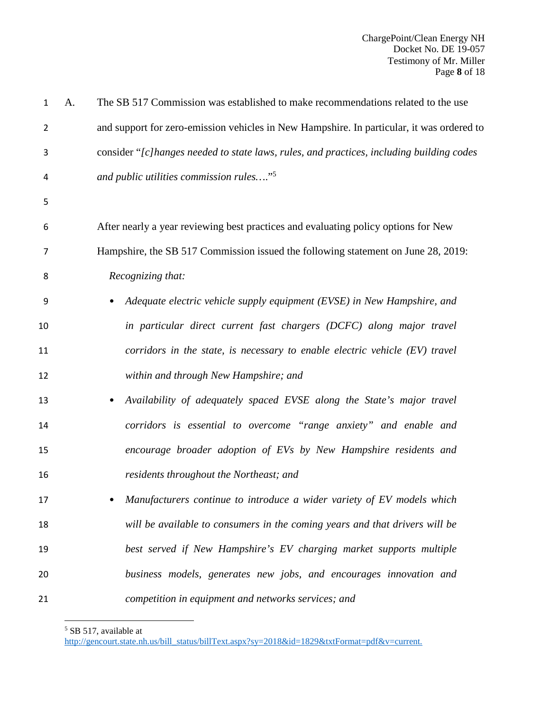| $\mathbf{1}$   | A. | The SB 517 Commission was established to make recommendations related to the use          |
|----------------|----|-------------------------------------------------------------------------------------------|
| $\overline{2}$ |    | and support for zero-emission vehicles in New Hampshire. In particular, it was ordered to |
| 3              |    | consider "[c]hanges needed to state laws, rules, and practices, including building codes  |
| 4              |    | and public utilities commission rules" <sup>5</sup>                                       |
| 5              |    |                                                                                           |
| 6              |    | After nearly a year reviewing best practices and evaluating policy options for New        |
| 7              |    | Hampshire, the SB 517 Commission issued the following statement on June 28, 2019:         |
| 8              |    | Recognizing that:                                                                         |
| 9              |    | Adequate electric vehicle supply equipment (EVSE) in New Hampshire, and                   |
| 10             |    | in particular direct current fast chargers (DCFC) along major travel                      |
| 11             |    | corridors in the state, is necessary to enable electric vehicle (EV) travel               |
| 12             |    | within and through New Hampshire; and                                                     |
| 13             |    | Availability of adequately spaced EVSE along the State's major travel<br>٠                |
| 14             |    | corridors is essential to overcome "range anxiety" and enable and                         |
| 15             |    | encourage broader adoption of EVs by New Hampshire residents and                          |
| 16             |    | residents throughout the Northeast; and                                                   |
| 17             |    | Manufacturers continue to introduce a wider variety of EV models which                    |
| 18             |    | will be available to consumers in the coming years and that drivers will be               |
| 19             |    | best served if New Hampshire's EV charging market supports multiple                       |
| 20             |    | business models, generates new jobs, and encourages innovation and                        |
| 21             |    | competition in equipment and networks services; and                                       |

SB 517, available at

http://gencourt.state.nh.us/bill\_status/billText.aspx?sy=2018&id=1829&txtFormat=pdf&v=current.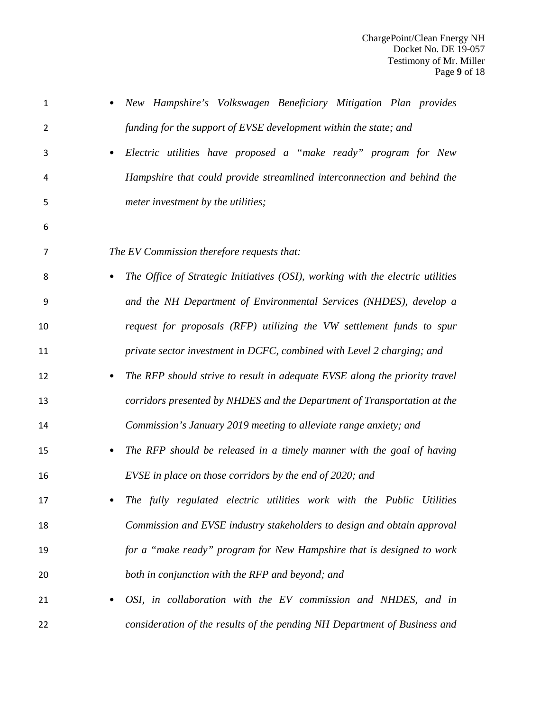| 1  | New Hampshire's Volkswagen Beneficiary Mitigation Plan provides                |
|----|--------------------------------------------------------------------------------|
| 2  | funding for the support of EVSE development within the state; and              |
| 3  | Electric utilities have proposed a "make ready" program for New                |
| 4  | Hampshire that could provide streamlined interconnection and behind the        |
| 5  | meter investment by the utilities;                                             |
| 6  |                                                                                |
| 7  | The EV Commission therefore requests that:                                     |
| 8  | The Office of Strategic Initiatives (OSI), working with the electric utilities |
| 9  | and the NH Department of Environmental Services (NHDES), develop a             |
| 10 | request for proposals (RFP) utilizing the VW settlement funds to spur          |
| 11 | private sector investment in DCFC, combined with Level 2 charging; and         |
| 12 | The RFP should strive to result in adequate EVSE along the priority travel     |
| 13 | corridors presented by NHDES and the Department of Transportation at the       |
| 14 | Commission's January 2019 meeting to alleviate range anxiety; and              |
| 15 | The RFP should be released in a timely manner with the goal of having          |
| 16 | EVSE in place on those corridors by the end of 2020; and                       |
| 17 | The fully regulated electric utilities work with the Public Utilities          |
| 18 | Commission and EVSE industry stakeholders to design and obtain approval        |
| 19 | for a "make ready" program for New Hampshire that is designed to work          |
| 20 | both in conjunction with the RFP and beyond; and                               |
| 21 | OSI, in collaboration with the EV commission and NHDES, and in                 |
| 22 | consideration of the results of the pending NH Department of Business and      |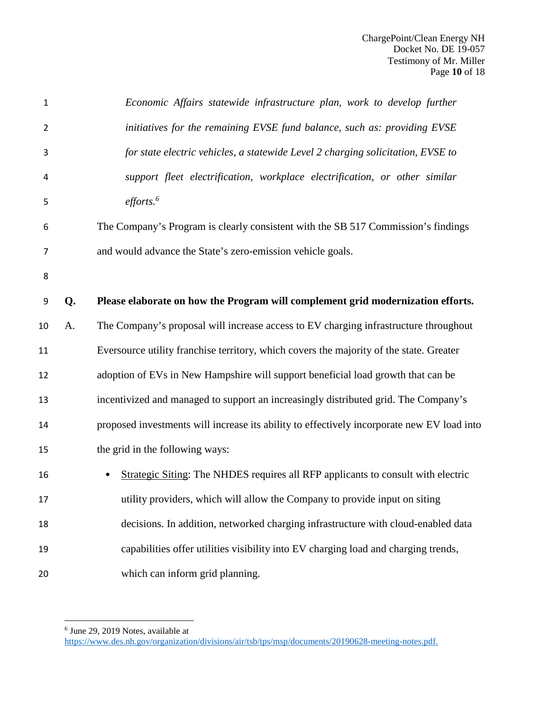| 1              |    | Economic Affairs statewide infrastructure plan, work to develop further                    |
|----------------|----|--------------------------------------------------------------------------------------------|
| $\overline{2}$ |    | initiatives for the remaining EVSE fund balance, such as: providing EVSE                   |
| 3              |    | for state electric vehicles, a statewide Level 2 charging solicitation, EVSE to            |
| 4              |    | support fleet electrification, workplace electrification, or other similar                 |
| 5              |    | $\textit{efforts.}^6$                                                                      |
| 6              |    | The Company's Program is clearly consistent with the SB 517 Commission's findings          |
| 7              |    | and would advance the State's zero-emission vehicle goals.                                 |
| 8              |    |                                                                                            |
| 9              | Q. | Please elaborate on how the Program will complement grid modernization efforts.            |
| 10             | A. | The Company's proposal will increase access to EV charging infrastructure throughout       |
| 11             |    | Eversource utility franchise territory, which covers the majority of the state. Greater    |
| 12             |    | adoption of EVs in New Hampshire will support beneficial load growth that can be           |
| 13             |    | incentivized and managed to support an increasingly distributed grid. The Company's        |
| 14             |    | proposed investments will increase its ability to effectively incorporate new EV load into |
| 15             |    | the grid in the following ways:                                                            |
| 16             |    | <b>Strategic Siting:</b> The NHDES requires all RFP applicants to consult with electric    |
| 17             |    | utility providers, which will allow the Company to provide input on siting                 |
| 18             |    | decisions. In addition, networked charging infrastructure with cloud-enabled data          |
| 19             |    | capabilities offer utilities visibility into EV charging load and charging trends,         |
| 20             |    | which can inform grid planning.                                                            |

June 29, 2019 Notes, available at

https://www.des.nh.gov/organization/divisions/air/tsb/tps/msp/documents/20190628-meeting-notes.pdf.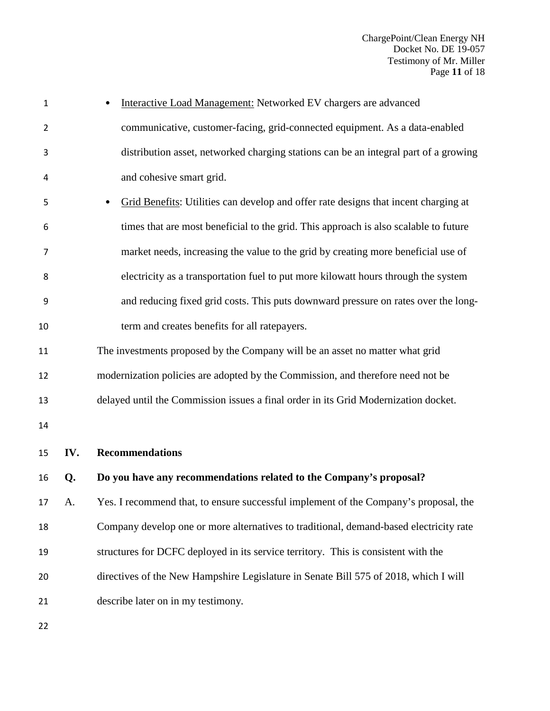| $\mathbf 1$    |     | Interactive Load Management: Networked EV chargers are advanced                        |
|----------------|-----|----------------------------------------------------------------------------------------|
| $\overline{2}$ |     | communicative, customer-facing, grid-connected equipment. As a data-enabled            |
| 3              |     | distribution asset, networked charging stations can be an integral part of a growing   |
| 4              |     | and cohesive smart grid.                                                               |
| 5              |     | Grid Benefits: Utilities can develop and offer rate designs that incent charging at    |
| 6              |     | times that are most beneficial to the grid. This approach is also scalable to future   |
| 7              |     | market needs, increasing the value to the grid by creating more beneficial use of      |
| 8              |     | electricity as a transportation fuel to put more kilowatt hours through the system     |
| 9              |     | and reducing fixed grid costs. This puts downward pressure on rates over the long-     |
| 10             |     | term and creates benefits for all ratepayers.                                          |
| 11             |     | The investments proposed by the Company will be an asset no matter what grid           |
| 12             |     | modernization policies are adopted by the Commission, and therefore need not be        |
| 13             |     | delayed until the Commission issues a final order in its Grid Modernization docket.    |
| 14             |     |                                                                                        |
| 15             | IV. | <b>Recommendations</b>                                                                 |
| 16             | Q.  | Do you have any recommendations related to the Company's proposal?                     |
| 17             | A.  | Yes. I recommend that, to ensure successful implement of the Company's proposal, the   |
| 18             |     | Company develop one or more alternatives to traditional, demand-based electricity rate |
| 19             |     | structures for DCFC deployed in its service territory. This is consistent with the     |
| 20             |     | directives of the New Hampshire Legislature in Senate Bill 575 of 2018, which I will   |
| 21             |     | describe later on in my testimony.                                                     |
| 22             |     |                                                                                        |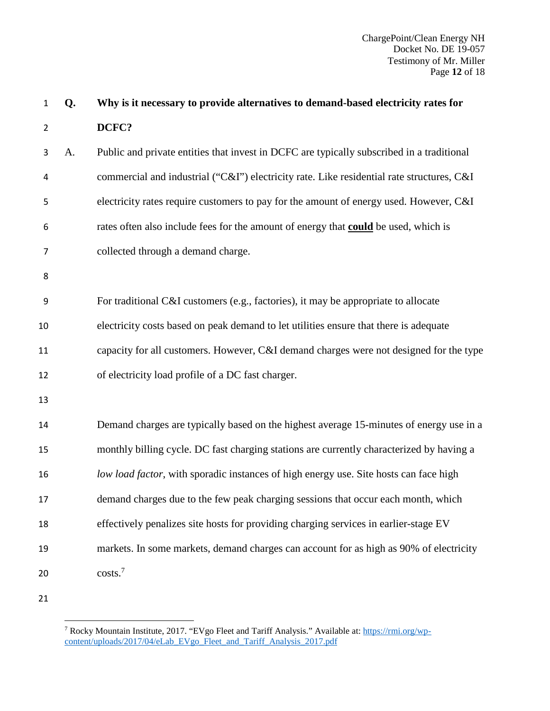| $\mathbf 1$    | Q. | Why is it necessary to provide alternatives to demand-based electricity rates for          |
|----------------|----|--------------------------------------------------------------------------------------------|
| $\overline{2}$ |    | DCFC?                                                                                      |
| 3              | A. | Public and private entities that invest in DCFC are typically subscribed in a traditional  |
| 4              |    | commercial and industrial ("C&I") electricity rate. Like residential rate structures, C&I  |
| 5              |    | electricity rates require customers to pay for the amount of energy used. However, C&I     |
| 6              |    | rates often also include fees for the amount of energy that <b>could</b> be used, which is |
| $\overline{7}$ |    | collected through a demand charge.                                                         |
| 8              |    |                                                                                            |
| 9              |    | For traditional C&I customers (e.g., factories), it may be appropriate to allocate         |
| 10             |    | electricity costs based on peak demand to let utilities ensure that there is adequate      |
| 11             |    | capacity for all customers. However, C&I demand charges were not designed for the type     |
| 12             |    | of electricity load profile of a DC fast charger.                                          |
| 13             |    |                                                                                            |
| 14             |    | Demand charges are typically based on the highest average 15-minutes of energy use in a    |
| 15             |    | monthly billing cycle. DC fast charging stations are currently characterized by having a   |
| 16             |    | low load factor, with sporadic instances of high energy use. Site hosts can face high      |
| 17             |    | demand charges due to the few peak charging sessions that occur each month, which          |
| 18             |    | effectively penalizes site hosts for providing charging services in earlier-stage EV       |
| 19             |    | markets. In some markets, demand charges can account for as high as 90% of electricity     |
| 20             |    | costs. <sup>7</sup>                                                                        |
| 21             |    |                                                                                            |

<sup>&</sup>lt;sup>7</sup> Rocky Mountain Institute, 2017. "EVgo Fleet and Tariff Analysis." Available at: https://rmi.org/wpcontent/uploads/2017/04/eLab\_EVgo\_Fleet\_and\_Tariff\_Analysis\_2017.pdf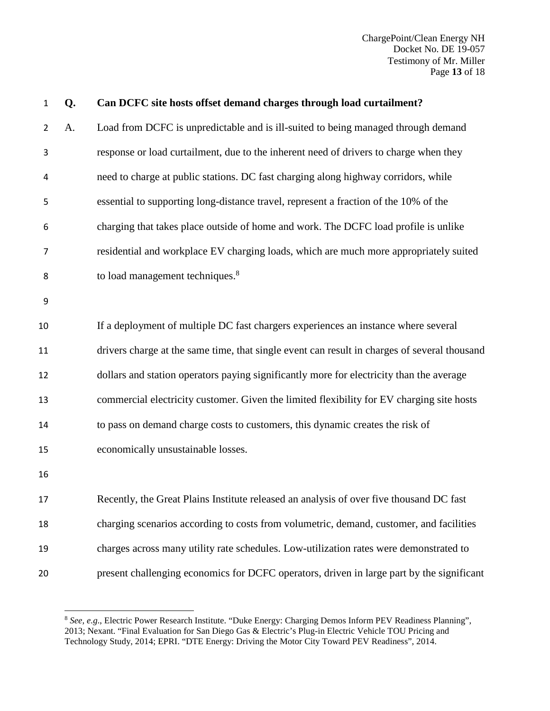ChargePoint/Clean Energy NH Docket No. DE 19-057 Testimony of Mr. Miller Page **13** of 18

| $\mathbf 1$    | Q. | Can DCFC site hosts offset demand charges through load curtailment?                          |
|----------------|----|----------------------------------------------------------------------------------------------|
| $\overline{2}$ | A. | Load from DCFC is unpredictable and is ill-suited to being managed through demand            |
| 3              |    | response or load curtailment, due to the inherent need of drivers to charge when they        |
| 4              |    | need to charge at public stations. DC fast charging along highway corridors, while           |
| 5              |    | essential to supporting long-distance travel, represent a fraction of the 10% of the         |
| 6              |    | charging that takes place outside of home and work. The DCFC load profile is unlike          |
| $\overline{7}$ |    | residential and workplace EV charging loads, which are much more appropriately suited        |
| 8              |    | to load management techniques. <sup>8</sup>                                                  |
| 9              |    |                                                                                              |
| 10             |    | If a deployment of multiple DC fast chargers experiences an instance where several           |
| 11             |    | drivers charge at the same time, that single event can result in charges of several thousand |
| 12             |    | dollars and station operators paying significantly more for electricity than the average     |
| 13             |    | commercial electricity customer. Given the limited flexibility for EV charging site hosts    |
| 14             |    | to pass on demand charge costs to customers, this dynamic creates the risk of                |
| 15             |    | economically unsustainable losses.                                                           |
| 16             |    |                                                                                              |
| 17             |    | Recently, the Great Plains Institute released an analysis of over five thousand DC fast      |
| 18             |    | charging scenarios according to costs from volumetric, demand, customer, and facilities      |
| 19             |    | charges across many utility rate schedules. Low-utilization rates were demonstrated to       |
| 20             |    | present challenging economics for DCFC operators, driven in large part by the significant    |

<sup>&</sup>lt;sup>8</sup> See, e.g., Electric Power Research Institute. "Duke Energy: Charging Demos Inform PEV Readiness Planning", 2013; Nexant. "Final Evaluation for San Diego Gas & Electric's Plug-in Electric Vehicle TOU Pricing and Technology Study, 2014; EPRI. "DTE Energy: Driving the Motor City Toward PEV Readiness", 2014.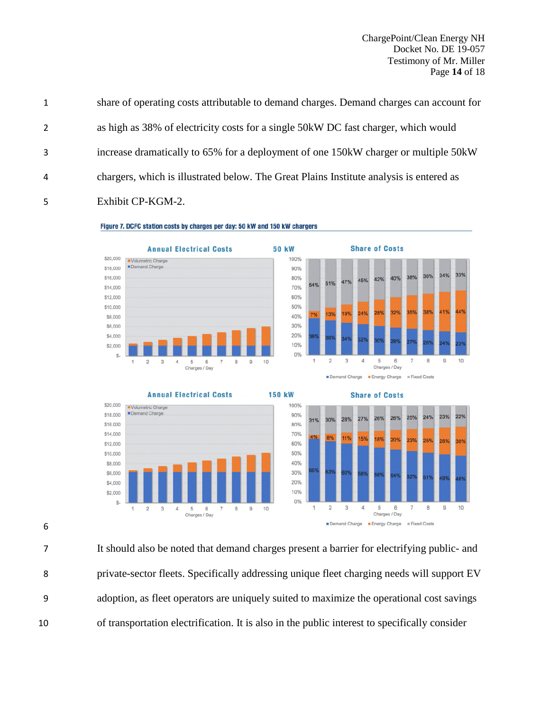ChargePoint/Clean Energy NH Docket No. DE 19-057 Testimony of Mr. Miller Page **14** of 18

| as high as 38% of electricity costs for a single 50kW DC fast charger, which would<br>2<br>increase dramatically to 65% for a deployment of one 150kW charger or multiple 50kW<br>3<br>chargers, which is illustrated below. The Great Plains Institute analysis is entered as<br>4<br>Exhibit CP-KGM-2.<br>5 | 1 | share of operating costs attributable to demand charges. Demand charges can account for |
|---------------------------------------------------------------------------------------------------------------------------------------------------------------------------------------------------------------------------------------------------------------------------------------------------------------|---|-----------------------------------------------------------------------------------------|
|                                                                                                                                                                                                                                                                                                               |   |                                                                                         |
|                                                                                                                                                                                                                                                                                                               |   |                                                                                         |
|                                                                                                                                                                                                                                                                                                               |   |                                                                                         |
|                                                                                                                                                                                                                                                                                                               |   |                                                                                         |









24% 23% 22%

25%

23%  $2500$ 





 $_{\rm 6}$  $\overline{7}$  $\,$  8  $\,$  $\theta$  $10$ 

6

It should also be noted that demand charges present a barrier for electrifying public- and private-sector fleets. Specifically addressing unique fleet charging needs will support EV adoption, as fleet operators are uniquely suited to maximize the operational cost savings of transportation electrification. It is also in the public interest to specifically consider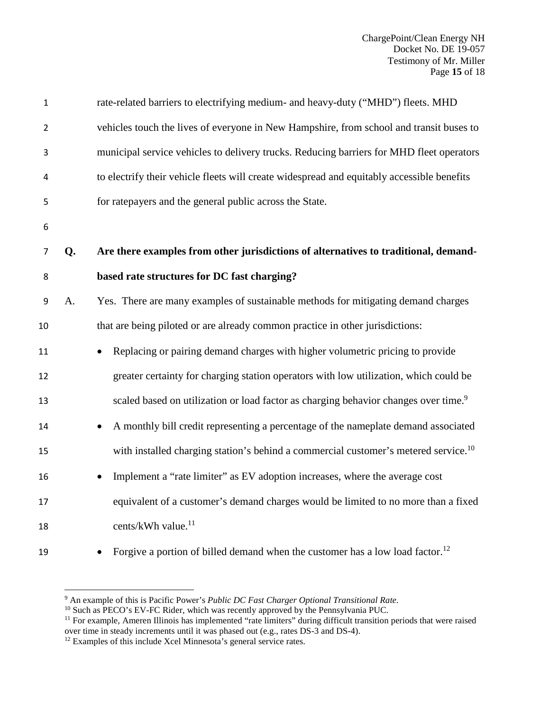| $\mathbf 1$    |    | rate-related barriers to electrifying medium- and heavy-duty ("MHD") fleets. MHD                |
|----------------|----|-------------------------------------------------------------------------------------------------|
| $\overline{2}$ |    | vehicles touch the lives of everyone in New Hampshire, from school and transit buses to         |
| 3              |    | municipal service vehicles to delivery trucks. Reducing barriers for MHD fleet operators        |
| 4              |    | to electrify their vehicle fleets will create widespread and equitably accessible benefits      |
| 5              |    | for ratepayers and the general public across the State.                                         |
| 6              |    |                                                                                                 |
| $\overline{7}$ | Q. | Are there examples from other jurisdictions of alternatives to traditional, demand-             |
| 8              |    | based rate structures for DC fast charging?                                                     |
| 9              | A. | Yes. There are many examples of sustainable methods for mitigating demand charges               |
| 10             |    | that are being piloted or are already common practice in other jurisdictions:                   |
| 11             |    | Replacing or pairing demand charges with higher volumetric pricing to provide                   |
| 12             |    | greater certainty for charging station operators with low utilization, which could be           |
| 13             |    | scaled based on utilization or load factor as charging behavior changes over time. <sup>9</sup> |
| 14             |    | A monthly bill credit representing a percentage of the nameplate demand associated<br>$\bullet$ |
| 15             |    | with installed charging station's behind a commercial customer's metered service. <sup>10</sup> |
| 16             |    | Implement a "rate limiter" as EV adoption increases, where the average cost<br>$\bullet$        |
| 17             |    | equivalent of a customer's demand charges would be limited to no more than a fixed              |
| 18             |    | cents/kWh value. <sup>11</sup>                                                                  |
| 19             |    | Forgive a portion of billed demand when the customer has a low load factor. <sup>12</sup>       |

<sup>9</sup> An example of this is Pacific Power's *Public DC Fast Charger Optional Transitional Rate*.

<sup>&</sup>lt;sup>10</sup> Such as PECO's EV-FC Rider, which was recently approved by the Pennsylvania PUC.

<sup>&</sup>lt;sup>11</sup> For example, Ameren Illinois has implemented "rate limiters" during difficult transition periods that were raised over time in steady increments until it was phased out (e.g., rates DS-3 and DS-4).

<sup>&</sup>lt;sup>12</sup> Examples of this include Xcel Minnesota's general service rates.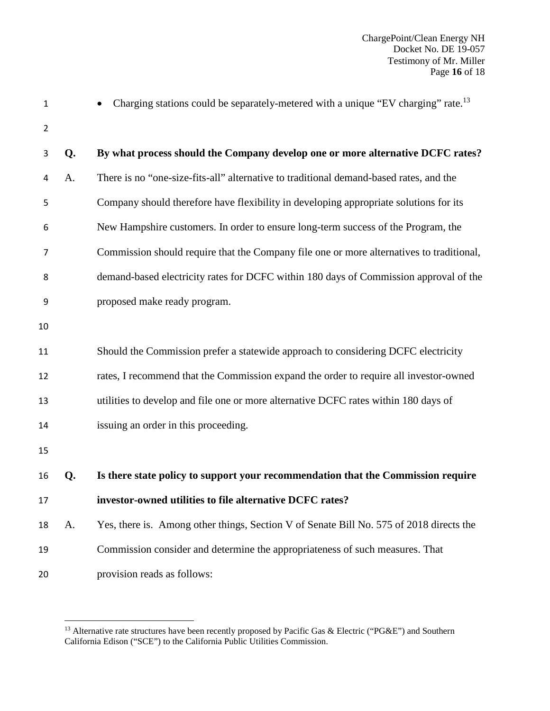| $\mathbf{1}$   |    | Charging stations could be separately-metered with a unique "EV charging" rate. <sup>13</sup> |
|----------------|----|-----------------------------------------------------------------------------------------------|
| $\overline{2}$ |    |                                                                                               |
| 3              | Q. | By what process should the Company develop one or more alternative DCFC rates?                |
| 4              | A. | There is no "one-size-fits-all" alternative to traditional demand-based rates, and the        |
| 5              |    | Company should therefore have flexibility in developing appropriate solutions for its         |
| 6              |    | New Hampshire customers. In order to ensure long-term success of the Program, the             |
| 7              |    | Commission should require that the Company file one or more alternatives to traditional,      |
| 8              |    | demand-based electricity rates for DCFC within 180 days of Commission approval of the         |
| 9              |    | proposed make ready program.                                                                  |
| 10             |    |                                                                                               |
| 11             |    | Should the Commission prefer a statewide approach to considering DCFC electricity             |
| 12             |    | rates, I recommend that the Commission expand the order to require all investor-owned         |
| 13             |    | utilities to develop and file one or more alternative DCFC rates within 180 days of           |
| 14             |    | issuing an order in this proceeding.                                                          |
| 15             |    |                                                                                               |
| 16             | Q. | Is there state policy to support your recommendation that the Commission require              |
| 17             |    | investor-owned utilities to file alternative DCFC rates?                                      |
| 18             | A. | Yes, there is. Among other things, Section V of Senate Bill No. 575 of 2018 directs the       |
| 19             |    | Commission consider and determine the appropriateness of such measures. That                  |
| 20             |    | provision reads as follows:                                                                   |
|                |    |                                                                                               |

<sup>&</sup>lt;sup>13</sup> Alternative rate structures have been recently proposed by Pacific Gas & Electric ("PG&E") and Southern California Edison ("SCE") to the California Public Utilities Commission.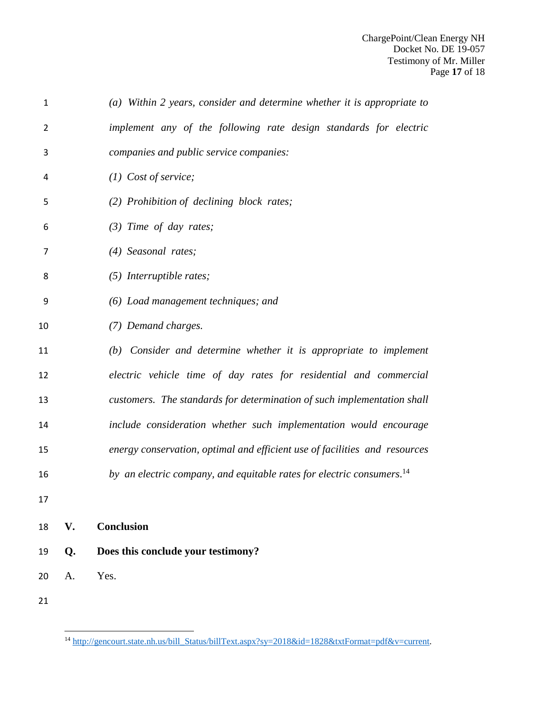| $\mathbf{1}$   |    | (a) Within 2 years, consider and determine whether it is appropriate to           |
|----------------|----|-----------------------------------------------------------------------------------|
| $\overline{2}$ |    | implement any of the following rate design standards for electric                 |
| 3              |    | companies and public service companies:                                           |
| 4              |    | $(1)$ Cost of service;                                                            |
| 5              |    | (2) Prohibition of declining block rates;                                         |
| 6              |    | $(3)$ Time of day rates;                                                          |
| $\overline{7}$ |    | (4) Seasonal rates;                                                               |
| 8              |    | $(5)$ Interruptible rates;                                                        |
| 9              |    | (6) Load management techniques; and                                               |
| 10             |    | (7) Demand charges.                                                               |
| 11             |    | (b) Consider and determine whether it is appropriate to implement                 |
| 12             |    | electric vehicle time of day rates for residential and commercial                 |
| 13             |    | customers. The standards for determination of such implementation shall           |
| 14             |    | include consideration whether such implementation would encourage                 |
| 15             |    | energy conservation, optimal and efficient use of facilities and resources        |
| 16             |    | by an electric company, and equitable rates for electric consumers. <sup>14</sup> |
| 17             |    |                                                                                   |
| 18             | V. | <b>Conclusion</b>                                                                 |
| 19             | Q. | Does this conclude your testimony?                                                |
| 20             | A. | Yes.                                                                              |
| 21             |    |                                                                                   |

<sup>&</sup>lt;sup>14</sup> http://gencourt.state.nh.us/bill\_Status/billText.aspx?sy=2018&id=1828&txtFormat=pdf&v=current.